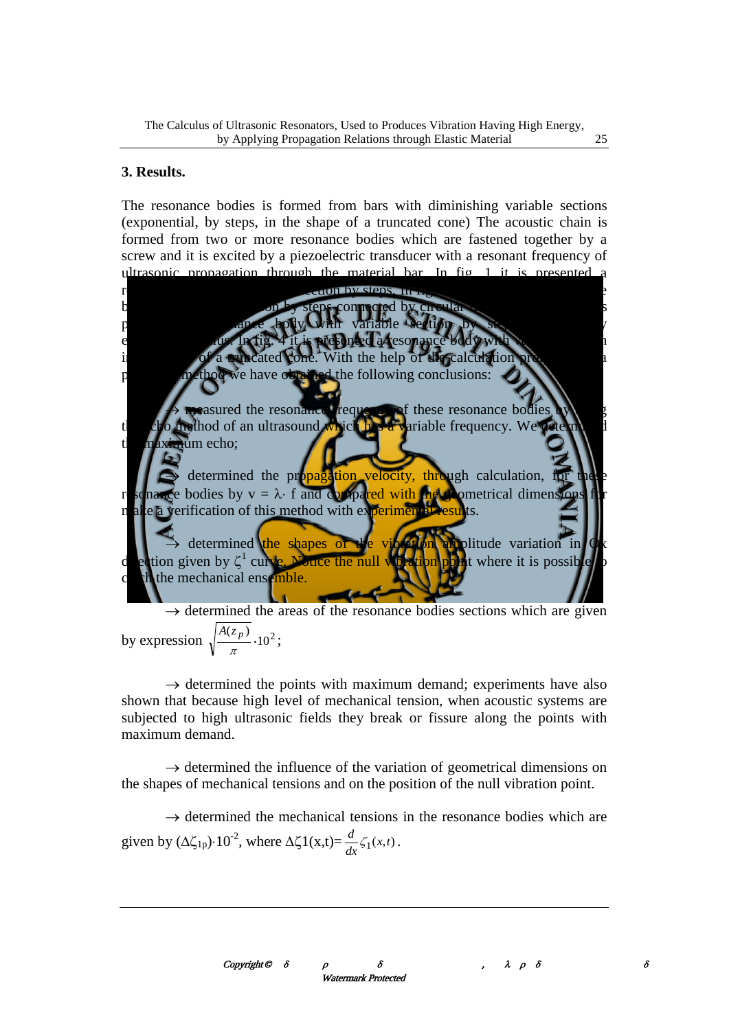## **3. Results.**

The resonance bodies is formed from bars with diminishing variable sections (exponential, by steps, in the shape of a truncated cone) The acoustic chain is formed from two or more resonance bodies which are fastened together by a screw and it is excited by a piezoelectric transducer with a resonant frequency of ultrasonic propagation through the material bar. In fig. 1 it is presented a resonance body with variable section by steps. In fig. 2 it is presented a resonance body with variable section by steps connected by circular radius  $r_{ac}$ . In fig. 3 it is presented a resonance body with variable section by step connected by exponential radius. In fig. 4 it is presented a resonance body with variable section in the shape of a truncated cone. With the help of the calculation program and a presented method we have obtained the following conclusions:

 $\rightarrow$  measured the resonance frequency of these resonance bodies by using the echo method of an ultrasound which has a variable frequency. We determined the maximum echo;

 $\rightarrow$  determined the propagation velocity, through calculation, for these resonance bodies by  $v = \lambda$  f and compared with the geometrical dimensions for make a verification of this method with experimental results.

 $\rightarrow$  determined the shapes of the vibration amplitude variation in Ox direction given by  $\zeta^1$  curve. Notice the null vibration point where it is possible to catch the mechanical ensemble.

 $\rightarrow$  determined the areas of the resonance bodies sections which are given by expression  $\sqrt{\frac{\Lambda(z_p)}{\Lambda}} \cdot 10^2$  $(z_p)$  $\frac{\sqrt{p}}{\pi}$ .  $\frac{A(z_p)}{P} \cdot 10^2$ ;

 $\rightarrow$  determined the points with maximum demand; experiments have also shown that because high level of mechanical tension, when acoustic systems are subjected to high ultrasonic fields they break or fissure along the points with maximum demand.

 $\rightarrow$  determined the influence of the variation of geometrical dimensions on the shapes of mechanical tensions and on the position of the null vibration point.

 $\rightarrow$  determined the mechanical tensions in the resonance bodies which are given by  $(\Delta \zeta_{1p}) \cdot 10^{-2}$ , where  $\Delta \zeta 1(x,t) = \frac{d}{dx} \zeta_1(x,t)$  $\frac{d}{dx} \zeta_1(x,t)$ .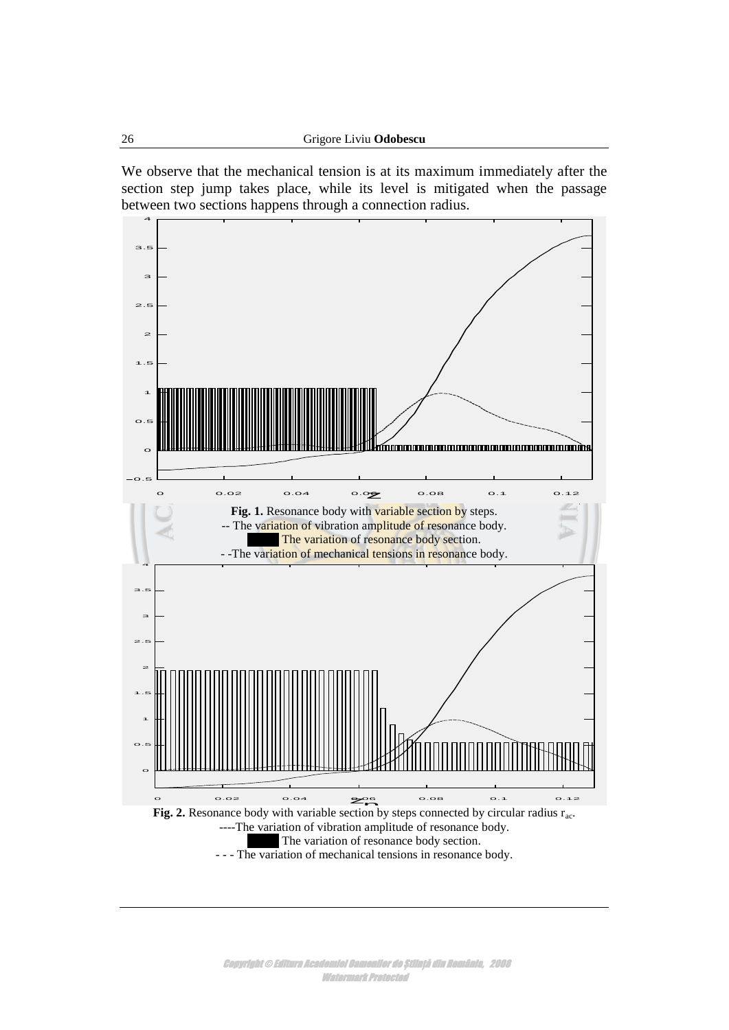We observe that the mechanical tension is at its maximum immediately after the section step jump takes place, while its level is mitigated when the passage between two sections happens through a connection radius.

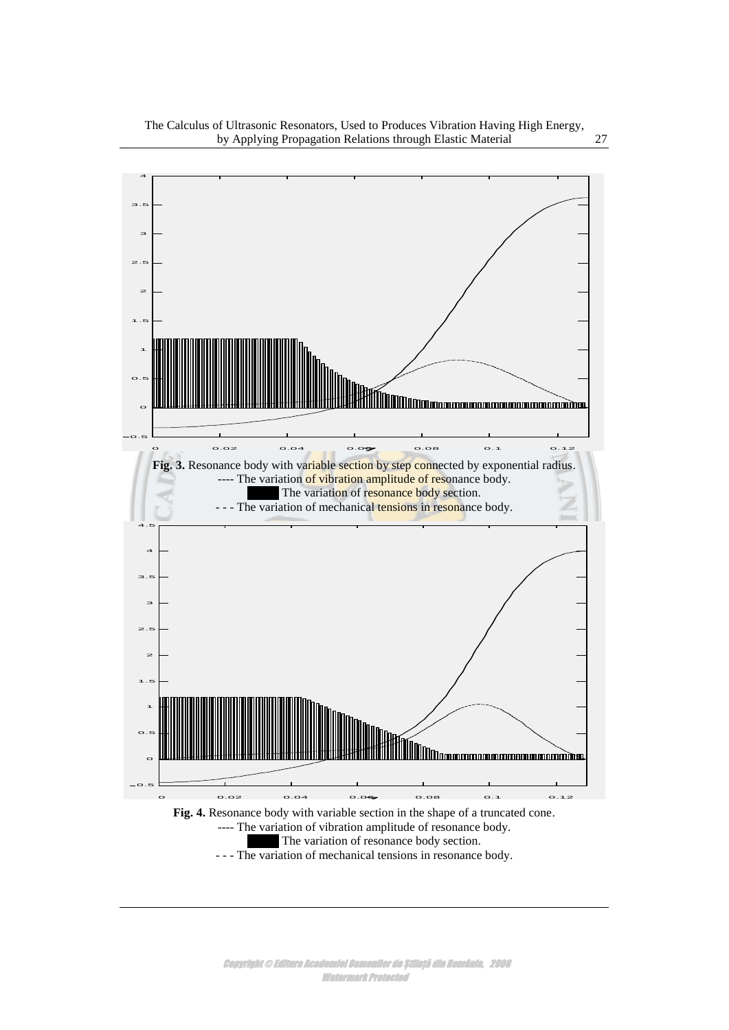